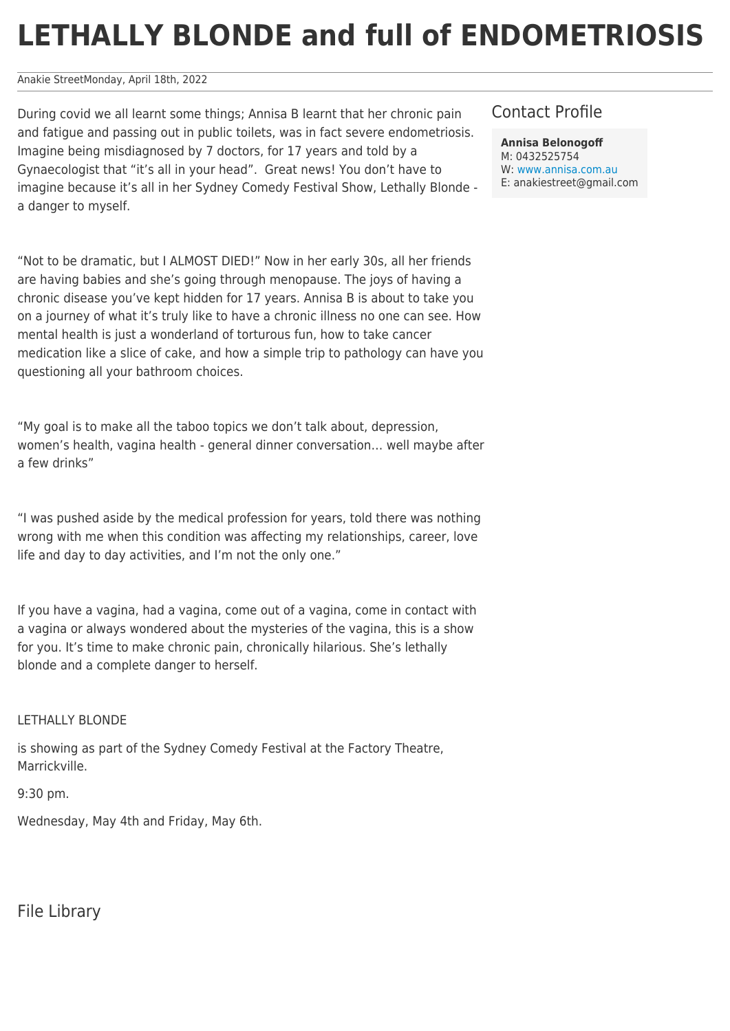## **LETHALLY BLONDE and full of ENDOMETRIOSIS**

Anakie StreetMonday, April 18th, 2022

During covid we all learnt some things; Annisa B learnt that her chronic pain and fatigue and passing out in public toilets, was in fact severe endometriosis. Imagine being misdiagnosed by 7 doctors, for 17 years and told by a Gynaecologist that "it's all in your head". Great news! You don't have to imagine because it's all in her Sydney Comedy Festival Show, Lethally Blonde a danger to myself.

"Not to be dramatic, but I ALMOST DIED!" Now in her early 30s, all her friends are having babies and she's going through menopause. The joys of having a chronic disease you've kept hidden for 17 years. Annisa B is about to take you on a journey of what it's truly like to have a chronic illness no one can see. How mental health is just a wonderland of torturous fun, how to take cancer medication like a slice of cake, and how a simple trip to pathology can have you questioning all your bathroom choices.

"My goal is to make all the taboo topics we don't talk about, depression, women's health, vagina health - general dinner conversation… well maybe after a few drinks"

"I was pushed aside by the medical profession for years, told there was nothing wrong with me when this condition was affecting my relationships, career, love life and day to day activities, and I'm not the only one."

If you have a vagina, had a vagina, come out of a vagina, come in contact with a vagina or always wondered about the mysteries of the vagina, this is a show for you. It's time to make chronic pain, chronically hilarious. She's lethally blonde and a complete danger to herself.

## LETHALLY BLONDE

is showing as part of the Sydney Comedy Festival at the Factory Theatre, Marrickville.

9:30 pm.

Wednesday, May 4th and Friday, May 6th.

File Library

## Contact Profile

**Annisa Belonogoff**

M: 0432525754 W: [www.annisa.com.au](http://www.annisa.com.au) E: anakiestreet@gmail.com